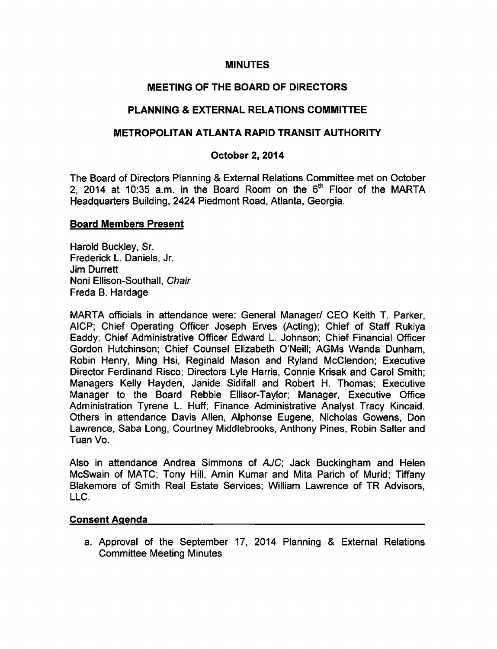### MINUTES

# MEETING OF THE BOARD OF DIRECTORS

## PLANNING & EXTERNAL RELATIONS COMMITTEE

## METROPOLITAN ATLANTA RAPID TRANSIT AUTHORITY

### October 2, 2014

The Board of Directors Planning & External Relations Committee met on October 2, 2014 at 10:35 a.m. in the Board Room on the  $6<sup>th</sup>$  Floor of the MARTA Headquarters Building, 2424 Piedmont Road, Atlanta, Georgia.

#### Board Members Present

Harold Buckley, Sr. Frederick L. Daniels, Jr. Jim Durrett Noni Ellison-Southall, Chair Freda B. Hardage

MARTA officials in attendance were: General Manager/ CEO Keith T. Parker, AICP; Chief Operating Officer Joseph Erves (Acting); Chief of Staff Rukiya Eaddy; Chief Administrative Officer Edward L. Johnson; Chief Financial Officer Gordon Hutchinson; Chief Counsel Elizabeth O'Neill; AGMs Wanda Dunham, Robin Henry, Ming Hsi, Reginald Mason and Ryland McClendon; Executive Director Ferdinand Risco; Directors Lyle Harris, Connie Krisak and Carol Smith; Managers Kelly Hayden, Janide Sidifall and Robert H. Thomas; Executive Manager to the Board Rebbie Ellisor-Taylor; Manager, Executive Office Administration Tyrene L. Huff; Finance Administrative Analyst Tracy Kincaid. Others in attendance Davis Allen, Alphonse Eugene, Nicholas Gowens, Don Lawrence, Saba Long, Courtney Middlebrooks, Anthony Pines, Robin Salter and Tuan Vo.

Also in attendance Andrea Simmons of AJC; Jack Buckingham and Helen McSwain of MATC; Tony Hill, Amin Kumar and Mita Parich of Murid; Tiffany Blakemore of Smith Real Estate Services; William Lawrence of TR Advisors, LLC.

#### Consent Agenda

a. Approval of the September 17, 2014 Planning & External Relations Committee Meeting Minutes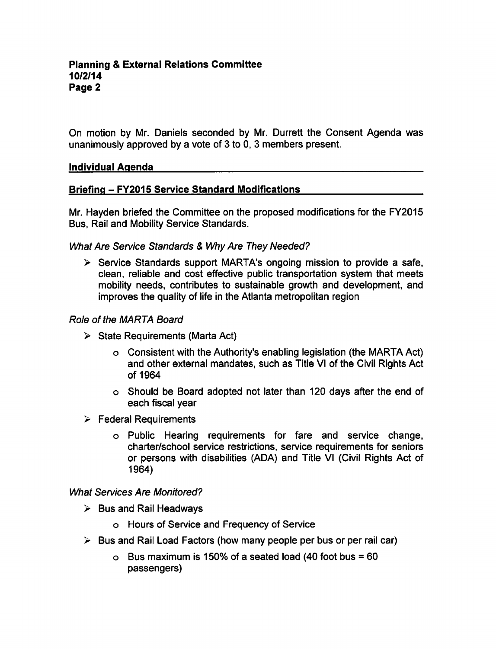On motion by Mr. Daniels seconded by Mr. Durrett the Consent Agenda was unanimously approved by a vote of 3 to 0, 3 members present.

#### Individual Agenda

## Briefing - FY2015 Service Standard Modifications

Mr. Hayden briefed the Committee on the proposed modifications for the FY2015 Bus, Rail and Mobility Service Standards.

#### What Are Service Standards & Why Are They Needed?

 $\triangleright$  Service Standards support MARTA's ongoing mission to provide a safe, clean, reliable and cost effective public transportation system that meets mobility needs, contributes to sustainable growth and development, and improves the quality of life in the Atlanta metropolitan region

#### Role of the MARTA Board

- $\triangleright$  State Requirements (Marta Act)
	- Consistent with the Authority's enabling legislation (the MARTA Act) and other external mandates, such as Title VI of the Civil Rights Act of 1964
	- Should be Board adopted not later than 120 days after the end of each fiscal year
- $\triangleright$  Federal Requirements
	- Public Hearing requirements for fare and service change, charter/school service restrictions, service requirements for seniors or persons with disabilities (ADA) and Title VI (Civil Rights Act of 1964)

#### What Services Are Monitored?

- $\triangleright$  Bus and Rail Headways
	- Hours of Service and Frequency of Service
- $\triangleright$  Bus and Rail Load Factors (how many people per bus or per rail car)
	- o Bus maximum is 150% of a seated load (40 foot bus =  $60$ passengers)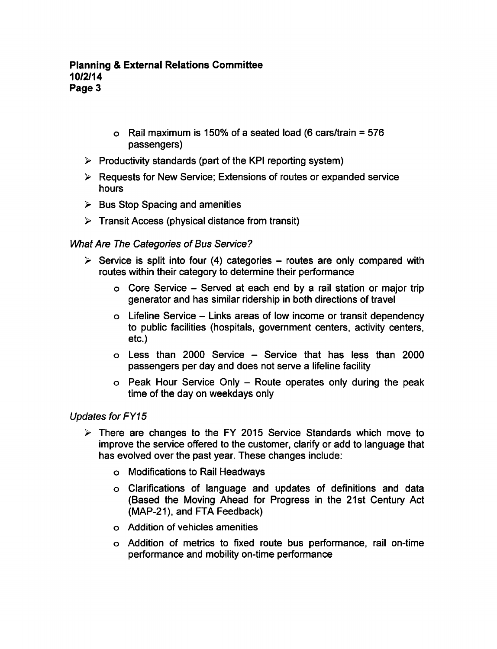- $\circ$  Rail maximum is 150% of a seated load (6 cars/train = 576 passengers)
- $\triangleright$  Productivity standards (part of the KPI reporting system)
- $\triangleright$  Requests for New Service; Extensions of routes or expanded service hours
- $\triangleright$  Bus Stop Spacing and amenities
- $\triangleright$  Transit Access (physical distance from transit)

# What Are The Categories of Bus Service?

- $\triangleright$  Service is split into four (4) categories routes are only compared with routes within their category to determine their performance
	- $\circ$  Core Service Served at each end by a rail station or major trip generator and has similar ridership in both directions of travel
	- $\circ$  Lifeline Service Links areas of low income or transit dependency to public facilities (hospitals, government centers, activity centers, etc.)
	- $\circ$  Less than 2000 Service Service that has less than 2000 passengers per day and does not serve a lifeline facility
	- $\circ$  Peak Hour Service Only Route operates only during the peak time of the day on weekdays only

## Updates for FY15

- $\triangleright$  There are changes to the FY 2015 Service Standards which move to improve the service offered to the customer, clarify or add to language that has evolved over the past year. These changes include:
	- Modifications to Rail Headways
	- Clarifications of language and updates of definitions and data (Based the Moving Ahead for Progress in the 21st Century Act (MAP-21), and FTA Feedback)
	- Addition of vehicles amenities
	- Addition of metrics to fixed route bus performance, rail on-time performance and mobility on-time performance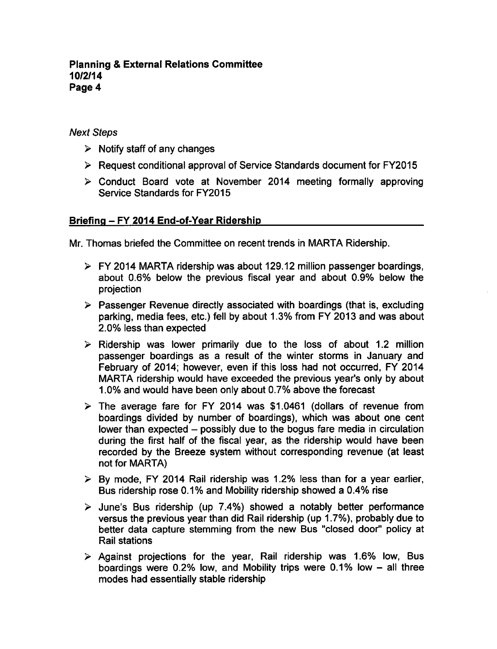### **Planning & External Relations Committee** 10/2/14 Page 4

## Next Steps

- $\triangleright$  Notify staff of any changes
- $\triangleright$  Request conditional approval of Service Standards document for FY2015
- Conduct Board vote at November 2014 meeting formally approving Service Standards for FY2015

## Briefing - FY 2014 End-of-Year Ridership

Mr. Thomas briefed the Committee on recent trends in MARTA Ridership.

- $\triangleright$  FY 2014 MARTA ridership was about 129.12 million passenger boardings, about 0.6% below the previous fiscal year and about 0.9% below the projection
- $\triangleright$  Passenger Revenue directly associated with boardings (that is, excluding parking, media fees, etc.) fell by about 1.3% from FY 2013 and was about 2.0% less than expected
- $\triangleright$  Ridership was lower primarily due to the loss of about 1.2 million passenger boardings as a result of the winter storms in January and February of 2014; however, even if this loss had not occurred, FY 2014 MARTA ridership would have exceeded the previous year's only by about 1.0% and would have been only about 0.7% above the forecast
- $\geq$  The average fare for FY 2014 was \$1.0461 (dollars of revenue from boardings divided by number of boardings), which was about one cent lower than expected – possibly due to the bogus fare media in circulation during the first half of the fiscal year, as the ridership would have been recorded by the Breeze system without corresponding revenue (at least not for MARTA)
- $\geq$  By mode, FY 2014 Rail ridership was 1.2% less than for a year earlier, Bus ridership rose 0.1% and Mobility ridership showed a 0.4% rise
- $\ge$  June's Bus ridership (up 7.4%) showed a notably better performance versus the previous year than did Rail ridership (up 1.7%), probably due to better data capture stemming from the new Bus "closed door" policy at Rail stations
- $\geq$  Against projections for the year, Rail ridership was 1.6% low, Bus boardings were  $0.2\%$  low, and Mobility trips were  $0.1\%$  low  $-$  all three modes had essentially stable ridership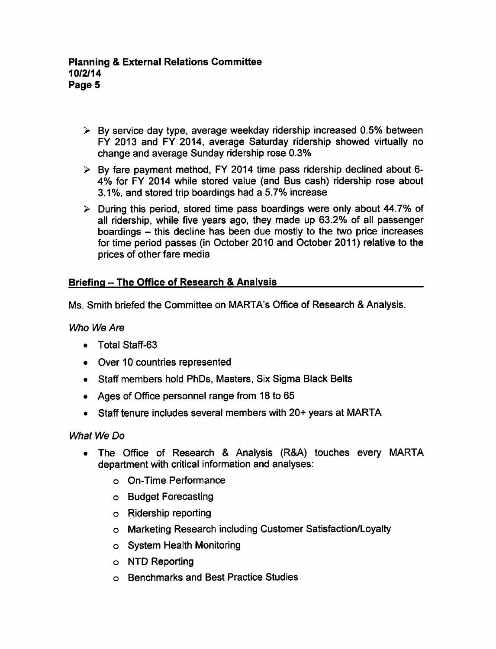- $\geq$  By service day type, average weekday ridership increased 0.5% between FY 2013 and FY 2014, average Saturday ridership showed virtually no change and average Sunday ridership rose 0.3%
- $\triangleright$  By fare payment method, FY 2014 time pass ridership declined about 6-4% for FY 2014 while stored value (and Bus cash) ridership rose about 3.1%, and stored trip boardings had a 5.7% increase
- $\triangleright$  During this period, stored time pass boardings were only about 44.7% of all ridership, while five years ago, they made up 63.2% of all passenger boardings - this decline has been due mostly to the two price increases for time period passes (in October 2010 and October 2011) relative to the prices of other fare media

# Briefing - The Office of Research & Analysis

Ms. Smith briefed the Committee on MARTA's Office of Research & Analysis.

Who We Are

- Total Staff-63
- Over 10 countries represented
- Staff members hold PhDs, Masters, Six Sigma Black Belts
- Ages of Office personnel range from 18 to 65
- Staff tenure includes several members with 20+ years at MARTA

What We Do

- The Office of Research & Analysis (R&A) touches every MARTA department with critical information and analyses:
	- On-Time Performance
	- Budget Forecasting
	- Ridership reporting
	- Marketing Research including Customer Satisfaction/Loyalty
	- System Health Monitoring
	- o NTD Reporting
	- Benchmarks and Best Practice Studies